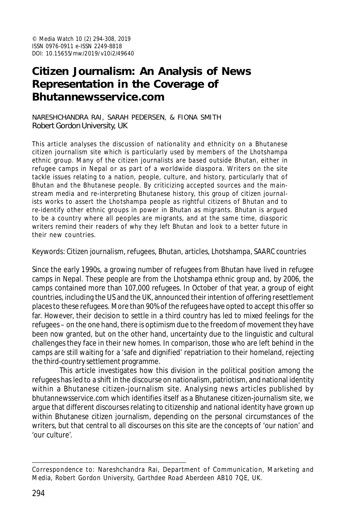# **Citizen Journalism: An Analysis of News Representation in the Coverage of Bhutannewsservice.com**

NARESHCHANDRA RAI, SARAH PEDERSEN, & FIONA SMITH Robert Gordon University, UK

This article analyses the discussion of nationality and ethnicity on a Bhutanese citizen journalism site which is particularly used by members of the Lhotshampa ethnic group. Many of the citizen journalists are based outside Bhutan, either in refugee camps in Nepal or as part of a worldwide diaspora. Writers on the site tackle issues relating to a nation, people, culture, and history, particularly that of Bhutan and the Bhutanese people. By criticizing accepted sources and the mainstream media and re-interpreting Bhutanese history, this group of citizen journalists works to assert the Lhotshampa people as rightful citizens of Bhutan and to re-identify other ethnic groups in power in Bhutan as migrants. Bhutan is argued to be a country where all peoples are migrants, and at the same time, diasporic writers remind their readers of why they left Bhutan and look to a better future in their new countries.

Keywords: Citizen journalism, refugees, Bhutan, articles, Lhotshampa, SAARC countries

Since the early 1990s, a growing number of refugees from Bhutan have lived in refugee camps in Nepal. These people are from the Lhotshampa ethnic group and, by 2006, the camps contained more than 107,000 refugees. In October of that year, a group of eight countries, including the US and the UK, announced their intention of offering resettlement places to these refugees. More than 90% of the refugees have opted to accept this offer so far. However, their decision to settle in a third country has led to mixed feelings for the refugees – on the one hand, there is optimism due to the freedom of movement they have been now granted, but on the other hand, uncertainty due to the linguistic and cultural challenges they face in their new homes. In comparison, those who are left behind in the camps are still waiting for a 'safe and dignified' repatriation to their homeland, rejecting the third-country settlement programme.

This article investigates how this division in the political position among the refugees has led to a shift in the discourse on nationalism, patriotism, and national identity within a Bhutanese citizen-journalism site. Analysing news articles published by bhutannewsservice.com which identifies itself as a Bhutanese citizen-journalism site, we argue that different discourses relating to citizenship and national identity have grown up within Bhutanese citizen journalism, depending on the personal circumstances of the writers, but that central to all discourses on this site are the concepts of 'our nation' and 'our culture'.

Correspondence to: Nareshchandra Rai, Department of Communication, Marketing and Media, Robert Gordon University, Garthdee Road Aberdeen AB10 7QE, UK.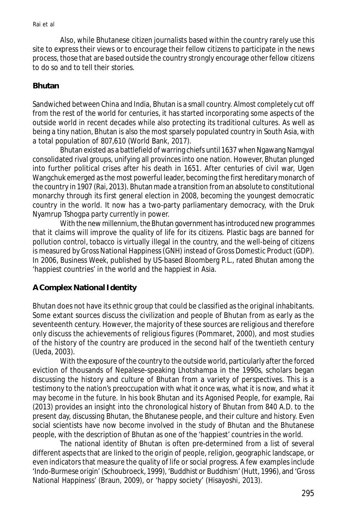Also, while Bhutanese citizen journalists based within the country rarely use this site to express their views or to encourage their fellow citizens to participate in the news process, those that are based outside the country strongly encourage other fellow citizens to do so and to tell their stories.

### **Bhutan**

Sandwiched between China and India, Bhutan is a small country. Almost completely cut off from the rest of the world for centuries, it has started incorporating some aspects of the outside world in recent decades while also protecting its traditional cultures. As well as being a tiny nation, Bhutan is also the most sparsely populated country in South Asia, with a total population of 807,610 (World Bank, 2017).

Bhutan existed as a battlefield of warring chiefs until 1637 when Ngawang Namgyal consolidated rival groups, unifying all provinces into one nation. However, Bhutan plunged into further political crises after his death in 1651. After centuries of civil war, Ugen Wangchuk emerged as the most powerful leader, becoming the first hereditary monarch of the country in 1907 (Rai, 2013). Bhutan made a transition from an absolute to constitutional monarchy through its first general election in 2008, becoming the youngest democratic country in the world. It now has a two-party parliamentary democracy, with the Druk Nyamrup Tshogpa party currently in power.

With the new millennium, the Bhutan government has introduced new programmes that it claims will improve the quality of life for its citizens. Plastic bags are banned for pollution control, tobacco is virtually illegal in the country, and the well-being of citizens is measured by Gross National Happiness (GNH) instead of Gross Domestic Product (GDP). In 2006, *Business Week*, published by US-based Bloomberg P.L., rated Bhutan among the 'happiest countries' in the world and the happiest in Asia.

# **A Complex National Identity**

Bhutan does not have its ethnic group that could be classified as the original inhabitants. Some extant sources discuss the civilization and people of Bhutan from as early as the seventeenth century. However, the majority of these sources are religious and therefore only discuss the achievements of religious figures (Pommaret, 2000), and most studies of the history of the country are produced in the second half of the twentieth century (Ueda, 2003).

With the exposure of the country to the outside world, particularly after the forced eviction of thousands of Nepalese-speaking Lhotshampa in the 1990s, scholars began discussing the history and culture of Bhutan from a variety of perspectives. This is a testimony to the nation's preoccupation with what it once was, what it is now, and what it may become in the future. In his book Bhutan and its Agonised People, for example, Rai (2013) provides an insight into the chronological history of Bhutan from 840 A.D. to the present day, discussing Bhutan, the Bhutanese people, and their culture and history. Even social scientists have now become involved in the study of Bhutan and the Bhutanese people, with the description of Bhutan as one of the 'happiest' countries in the world.

The national identity of Bhutan is often pre-determined from a list of several different aspects that are linked to the origin of people, religion, geographic landscape, or even indicators that measure the quality of life or social progress. A few examples include 'Indo-Burmese origin' (Schoubroeck, 1999), 'Buddhist or Buddhism' (Hutt, 1996), and 'Gross National Happiness' (Braun, 2009), or 'happy society' (Hisayoshi, 2013).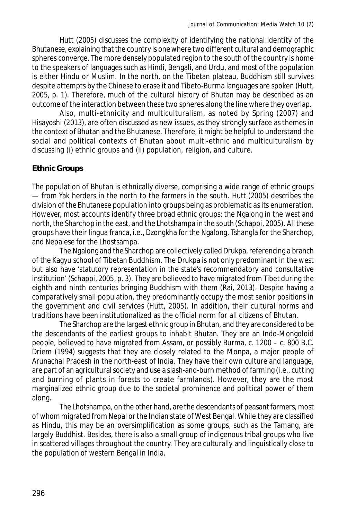Hutt (2005) discusses the complexity of identifying the national identity of the Bhutanese, explaining that the country is one where two different cultural and demographic spheres converge. The more densely populated region to the south of the country is home to the speakers of languages such as Hindi, Bengali, and Urdu, and most of the population is either Hindu or Muslim. In the north, on the Tibetan plateau, Buddhism still survives despite attempts by the Chinese to erase it and Tibeto-Burma languages are spoken (Hutt, 2005, p. 1). Therefore, much of the cultural history of Bhutan may be described as an outcome of the interaction between these two spheres along the line where they overlap.

Also, multi-ethnicity and multiculturalism, as noted by Spring (2007) and Hisayoshi (2013), are often discussed as new issues, as they strongly surface as themes in the context of Bhutan and the Bhutanese. Therefore, it might be helpful to understand the social and political contexts of Bhutan about multi-ethnic and multiculturalism by discussing (i) ethnic groups and (ii) population, religion, and culture.

# **Ethnic Groups**

The population of Bhutan is ethnically diverse, comprising a wide range of ethnic groups — from Yak herders in the north to the farmers in the south. Hutt (2005) describes the division of the Bhutanese population into groups being as problematic as its enumeration. However, most accounts identify three broad ethnic groups: the Ngalong in the west and north, the Sharchop in the east, and the Lhotshampa in the south (Schappi, 2005). All these groups have their lingua franca, i.e., Dzongkha for the Ngalong, Tshangla for the Sharchop, and Nepalese for the Lhostsampa.

The Ngalong and the Sharchop are collectively called Drukpa, referencing a branch of the Kagyu school of Tibetan Buddhism. The Drukpa is not only predominant in the west but also have 'statutory representation in the state's recommendatory and consultative institution' (Schappi, 2005, p. 3). They are believed to have migrated from Tibet during the eighth and ninth centuries bringing Buddhism with them (Rai, 2013). Despite having a comparatively small population, they predominantly occupy the most senior positions in the government and civil services (Hutt, 2005). In addition, their cultural norms and traditions have been institutionalized as the official norm for all citizens of Bhutan.

The Sharchop are the largest ethnic group in Bhutan, and they are considered to be the descendants of the earliest groups to inhabit Bhutan. They are an Indo-Mongoloid people, believed to have migrated from Assam, or possibly Burma, c. 1200 – c. 800 B.C. Driem (1994) suggests that they are closely related to the Monpa, a major people of Arunachal Pradesh in the north-east of India. They have their own culture and language, are part of an agricultural society and use a slash-and-burn method of farming (i.e., cutting and burning of plants in forests to create farmlands). However, they are the most marginalized ethnic group due to the societal prominence and political power of them along.

The Lhotshampa, on the other hand, are the descendants of peasant farmers, most of whom migrated from Nepal or the Indian state of West Bengal. While they are classified as Hindu, this may be an oversimplification as some groups, such as the Tamang, are largely Buddhist. Besides, there is also a small group of indigenous tribal groups who live in scattered villages throughout the country. They are culturally and linguistically close to the population of western Bengal in India.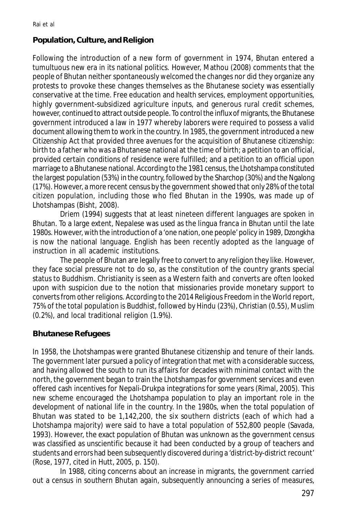# **Population, Culture, and Religion**

Following the introduction of a new form of government in 1974, Bhutan entered a tumultuous new era in its national politics. However, Mathou (2008) comments that the people of Bhutan neither spontaneously welcomed the changes nor did they organize any protests to provoke these changes themselves as the Bhutanese society was essentially conservative at the time. Free education and health services, employment opportunities, highly government-subsidized agriculture inputs, and generous rural credit schemes, however, continued to attract outside people. To control the influx of migrants, the Bhutanese government introduced a law in 1977 whereby laborers were required to possess a valid document allowing them to work in the country. In 1985, the government introduced a new Citizenship Act that provided three avenues for the acquisition of Bhutanese citizenship: birth to a father who was a Bhutanese national at the time of birth; a petition to an official, provided certain conditions of residence were fulfilled; and a petition to an official upon marriage to a Bhutanese national. According to the 1981 census, the Lhotshampa constituted the largest population (53%) in the country, followed by the Sharchop (30%) and the Ngalong (17%). However, a more recent census by the government showed that only 28% of the total citizen population, including those who fled Bhutan in the 1990s, was made up of Lhotshampas (Bisht, 2008).

Driem (1994) suggests that at least nineteen different languages are spoken in Bhutan. To a large extent, Nepalese was used as the lingua franca in Bhutan until the late 1980s. However, with the introduction of a 'one nation, one people' policy in 1989, Dzongkha is now the national language. English has been recently adopted as the language of instruction in all academic institutions.

The people of Bhutan are legally free to convert to any religion they like. However, they face social pressure not to do so, as the constitution of the country grants special status to Buddhism. Christianity is seen as a Western faith and converts are often looked upon with suspicion due to the notion that missionaries provide monetary support to converts from other religions. According to the 2014 Religious Freedom in the World report, 75% of the total population is Buddhist, followed by Hindu (23%), Christian (0.55), Muslim (0.2%), and local traditional religion (1.9%).

#### **Bhutanese Refugees**

In 1958, the Lhotshampas were granted Bhutanese citizenship and tenure of their lands. The government later pursued a policy of integration that met with a considerable success, and having allowed the south to run its affairs for decades with minimal contact with the north, the government began to train the Lhotshampas for government services and even offered cash incentives for Nepali-Drukpa integrations for some years (Rimal, 2005). This new scheme encouraged the Lhotshampa population to play an important role in the development of national life in the country. In the 1980s, when the total population of Bhutan was stated to be 1,142,200, the six southern districts (each of which had a Lhotshampa majority) were said to have a total population of 552,800 people (Savada, 1993). However, the exact population of Bhutan was unknown as the government census was classified as unscientific because it had been conducted by a group of teachers and students and errors had been subsequently discovered during a 'district-by-district recount' (Rose, 1977, cited in Hutt, 2005, p. 150).

In 1988, citing concerns about an increase in migrants, the government carried out a census in southern Bhutan again, subsequently announcing a series of measures,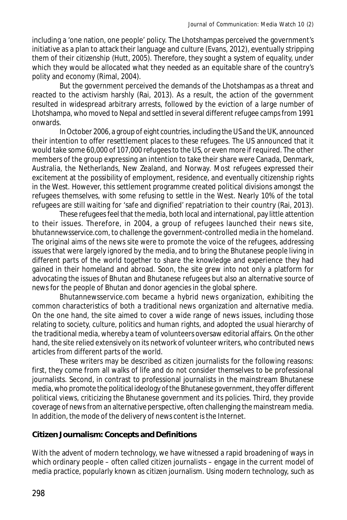including a 'one nation, one people' policy. The Lhotshampas perceived the government's initiative as a plan to attack their language and culture (Evans, 2012), eventually stripping them of their citizenship (Hutt, 2005). Therefore, they sought a system of equality, under which they would be allocated what they needed as an equitable share of the country's polity and economy (Rimal, 2004).

But the government perceived the demands of the Lhotshampas as a threat and reacted to the activism harshly (Rai, 2013). As a result, the action of the government resulted in widespread arbitrary arrests, followed by the eviction of a large number of Lhotshampa, who moved to Nepal and settled in several different refugee camps from 1991 onwards.

In October 2006, a group of eight countries, including the US and the UK, announced their intention to offer resettlement places to these refugees. The US announced that it would take some 60,000 of 107,000 refugees to the US, or even more if required. The other members of the group expressing an intention to take their share were Canada, Denmark, Australia, the Netherlands, New Zealand, and Norway. Most refugees expressed their excitement at the possibility of employment, residence, and eventually citizenship rights in the West. However, this settlement programme created political divisions amongst the refugees themselves, with some refusing to settle in the West. Nearly 10% of the total refugees are still waiting for 'safe and dignified' repatriation to their country (Rai, 2013).

These refugees feel that the media, both local and international, pay little attention to their issues. Therefore, in 2004, a group of refugees launched their news site, *bhutannewsservice.com*, to challenge the government-controlled media in the homeland. The original aims of the news site were to promote the voice of the refugees, addressing issues that were largely ignored by the media, and to bring the Bhutanese people living in different parts of the world together to share the knowledge and experience they had gained in their homeland and abroad. Soon, the site grew into not only a platform for advocating the issues of Bhutan and Bhutanese refugees but also an alternative source of news for the people of Bhutan and donor agencies in the global sphere.

Bhutannewsservice.com became a hybrid news organization, exhibiting the common characteristics of both a traditional news organization and alternative media. On the one hand, the site aimed to cover a wide range of news issues, including those relating to society, culture, politics and human rights, and adopted the usual hierarchy of the traditional media, whereby a team of volunteers oversaw editorial affairs. On the other hand, the site relied extensively on its network of volunteer writers, who contributed news articles from different parts of the world.

These writers may be described as citizen journalists for the following reasons: first, they come from all walks of life and do not consider themselves to be professional journalists. Second, in contrast to professional journalists in the mainstream Bhutanese media, who promote the political ideology of the Bhutanese government, they offer different political views, criticizing the Bhutanese government and its policies. Third, they provide coverage of news from an alternative perspective, often challenging the mainstream media. In addition, the mode of the delivery of news content is the Internet.

# **Citizen Journalism: Concepts and Definitions**

With the advent of modern technology, we have witnessed a rapid broadening of ways in which ordinary people – often called citizen journalists – engage in the current model of media practice, popularly known as citizen journalism. Using modern technology, such as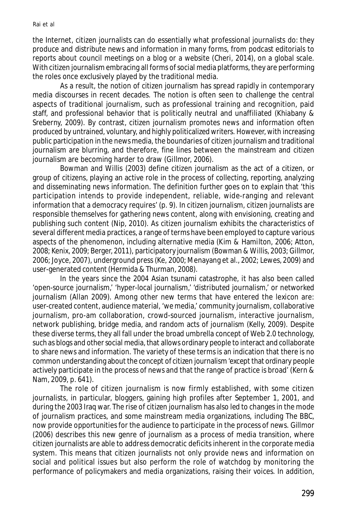#### Rai et al

the Internet, citizen journalists can do essentially what professional journalists do: they produce and distribute news and information in many forms, from podcast editorials to reports about council meetings on a blog or a website (Cheri, 2014), on a global scale. With citizen journalism embracing all forms of social media platforms, they are performing the roles once exclusively played by the traditional media.

As a result, the notion of citizen journalism has spread rapidly in contemporary media discourses in recent decades. The notion is often seen to challenge the central aspects of traditional journalism, such as professional training and recognition, paid staff, and professional behavior that is politically neutral and unaffiliated (Khiabany & Sreberny, 2009). By contrast, citizen journalism promotes news and information often produced by untrained, voluntary, and highly politicalized writers. However, with increasing public participation in the news media, the boundaries of citizen journalism and traditional journalism are blurring, and therefore, fine lines between the mainstream and citizen journalism are becoming harder to draw (Gillmor, 2006).

Bowman and Willis (2003) define citizen journalism as the act of a citizen, or group of citizens, playing an active role in the process of collecting, reporting, analyzing and disseminating news information. The definition further goes on to explain that 'this participation intends to provide independent, reliable, wide-ranging and relevant information that a democracy requires' (p. 9). In citizen journalism, citizen journalists are responsible themselves for gathering news content, along with envisioning, creating and publishing such content (Nip, 2010). As citizen journalism exhibits the characteristics of several different media practices, a range of terms have been employed to capture various aspects of the phenomenon, including alternative media (Kim & Hamilton, 2006; Atton, 2008; Kenix, 2009; Berger, 2011), participatory journalism (Bowman & Willis, 2003; Gillmor, 2006; Joyce, 2007), underground press (Ke, 2000; Menayang et al., 2002; Lewes, 2009) and user-generated content (Hermida & Thurman, 2008).

In the years since the 2004 Asian tsunami catastrophe, it has also been called 'open-source journalism,' 'hyper-local journalism,' 'distributed journalism,' or networked journalism (Allan 2009). Among other new terms that have entered the lexicon are: user-created content, audience material, 'we media,' community journalism, collaborative journalism, pro-am collaboration, crowd-sourced journalism, interactive journalism, network publishing, bridge media, and random acts of journalism (Kelly, 2009). Despite these diverse terms, they all fall under the broad umbrella concept of Web 2.0 technology, such as blogs and other social media, that allows ordinary people to interact and collaborate to share news and information. The variety of these terms is an indication that there is no common understanding about the concept of citizen journalism 'except that ordinary people actively participate in the process of news and that the range of practice is broad' (Kern & Nam, 2009, p. 641).

The role of citizen journalism is now firmly established, with some citizen journalists, in particular, bloggers, gaining high profiles after September 1, 2001, and during the 2003 Iraq war. The rise of citizen journalism has also led to changes in the mode of journalism practices, and some mainstream media organizations, including The BBC, now provide opportunities for the audience to participate in the process of news. Gillmor (2006) describes this new genre of journalism as a process of media transition, where citizen journalists are able to address democratic deficits inherent in the corporate media system. This means that citizen journalists not only provide news and information on social and political issues but also perform the role of watchdog by monitoring the performance of policymakers and media organizations, raising their voices. In addition,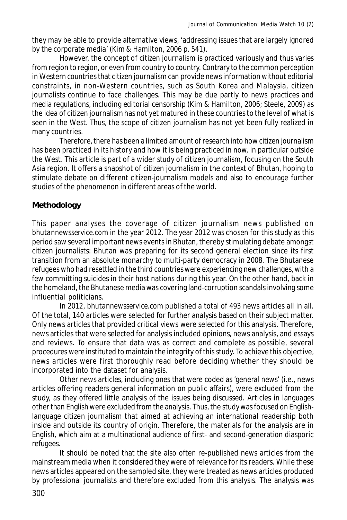they may be able to provide alternative views, 'addressing issues that are largely ignored by the corporate media' (Kim & Hamilton, 2006 p. 541).

However, the concept of citizen journalism is practiced variously and thus varies from region to region, or even from country to country. Contrary to the common perception in Western countries that citizen journalism can provide news information without editorial constraints, in non-Western countries, such as South Korea and Malaysia, citizen journalists continue to face challenges. This may be due partly to news practices and media regulations, including editorial censorship (Kim & Hamilton, 2006; Steele, 2009) as the idea of citizen journalism has not yet matured in these countries to the level of what is seen in the West. Thus, the scope of citizen journalism has not yet been fully realized in many countries.

Therefore, there has been a limited amount of research into how citizen journalism has been practiced in its history and how it is being practiced in now, in particular outside the West. This article is part of a wider study of citizen journalism, focusing on the South Asia region. It offers a snapshot of citizen journalism in the context of Bhutan, hoping to stimulate debate on different citizen-journalism models and also to encourage further studies of the phenomenon in different areas of the world.

# **Methodology**

This paper analyses the coverage of citizen journalism news published on *bhutannewsservice.com* in the year 2012. The year 2012 was chosen for this study as this period saw several important news events in Bhutan, thereby stimulating debate amongst citizen journalists: Bhutan was preparing for its second general election since its first transition from an absolute monarchy to multi-party democracy in 2008. The Bhutanese refugees who had resettled in the third countries were experiencing new challenges, with a few committing suicides in their host nations during this year. On the other hand, back in the homeland, the Bhutanese media was covering land-corruption scandals involving some influential politicians.

In 2012, *bhutannewsservice.com* published a total of 493 news articles all in all. Of the total, 140 articles were selected for further analysis based on their subject matter. Only news articles that provided critical views were selected for this analysis. Therefore, news articles that were selected for analysis included opinions, news analysis, and essays and reviews. To ensure that data was as correct and complete as possible, several procedures were instituted to maintain the integrity of this study. To achieve this objective, news articles were first thoroughly read before deciding whether they should be incorporated into the dataset for analysis.

Other news articles, including ones that were coded as 'general news' (i.e., news articles offering readers general information on public affairs), were excluded from the study, as they offered little analysis of the issues being discussed. Articles in languages other than English were excluded from the analysis. Thus, the study was focused on Englishlanguage citizen journalism that aimed at achieving an international readership both inside and outside its country of origin. Therefore, the materials for the analysis are in English, which aim at a multinational audience of first- and second-generation diasporic refugees.

It should be noted that the site also often re-published news articles from the mainstream media when it considered they were of relevance for its readers. While these news articles appeared on the sampled site, they were treated as news articles produced by professional journalists and therefore excluded from this analysis. The analysis was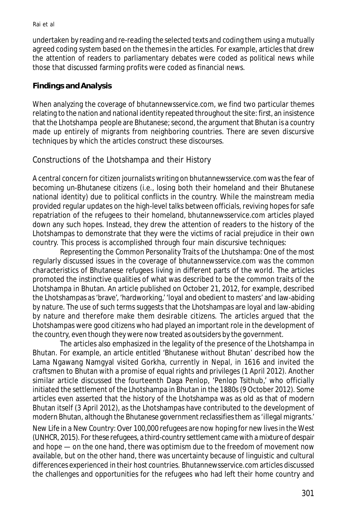undertaken by reading and re-reading the selected texts and coding them using a mutually agreed coding system based on the themes in the articles. For example, articles that drew the attention of readers to parliamentary debates were coded as political news while those that discussed farming profits were coded as financial news.

# **Findings and Analysis**

When analyzing the coverage of bhutannewsservice.com, we find two particular themes relating to the nation and national identity repeated throughout the site: first, an insistence that the Lhotshampa people are Bhutanese; second, the argument that Bhutan is a country made up entirely of migrants from neighboring countries. There are seven discursive techniques by which the articles construct these discourses.

# Constructions of the Lhotshampa and their History

A central concern for citizen journalists writing on bhutannewsservice.com was the fear of becoming un-Bhutanese citizens (i.e., losing both their homeland and their Bhutanese national identity) due to political conflicts in the country. While the mainstream media provided regular updates on the high-level talks between officials, reviving hopes for safe repatriation of the refugees to their homeland, bhutannewsservice.com articles played down any such hopes. Instead, they drew the attention of readers to the history of the Lhotshampas to demonstrate that they were the victims of racial prejudice in their own country. This process is accomplished through four main discursive techniques:

Representing the Common Personality Traits of the Lhutshampa: One of the most regularly discussed issues in the coverage of bhutannewsservice.com was the common characteristics of Bhutanese refugees living in different parts of the world. The articles promoted the instinctive qualities of what was described to be the common traits of the Lhotshampa in Bhutan. An article published on October 21, 2012, for example, described the Lhotshampas as 'brave', 'hardworking,' 'loyal and obedient to masters' and law-abiding by nature. The use of such terms suggests that the Lhotshampas are loyal and law-abiding by nature and therefore make them desirable citizens. The articles argued that the Lhotshampas were good citizens who had played an important role in the development of the country, even though they were now treated as outsiders by the government.

The articles also emphasized in the legality of the presence of the Lhotshampa in Bhutan. For example, an article entitled 'Bhutanese without Bhutan' described how the Lama Ngawang Namgyal visited Gorkha, currently in Nepal, in 1616 and invited the craftsmen to Bhutan with a promise of equal rights and privileges (1 April 2012). Another similar article discussed the fourteenth Daga Penlop, 'Penlop Tsithub,' who officially initiated the settlement of the Lhotshampa in Bhutan in the 1880s (9 October 2012). Some articles even asserted that the history of the Lhotshampa was as old as that of modern Bhutan itself (3 April 2012), as the Lhotshampas have contributed to the development of modern Bhutan, although the Bhutanese government reclassifies them as 'illegal migrants.'

*New Life in a New Country:* Over 100,000 refugees are now hoping for new lives in the West (UNHCR, 2015). For these refugees, a third-country settlement came with a mixture of despair and hope — on the one hand, there was optimism due to the freedom of movement now available, but on the other hand, there was uncertainty because of linguistic and cultural differences experienced in their host countries. Bhutannewsservice.com articles discussed the challenges and opportunities for the refugees who had left their home country and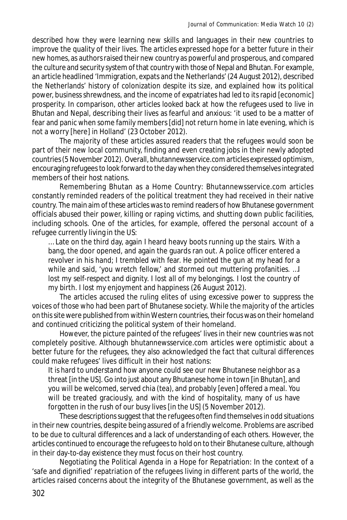described how they were learning new skills and languages in their new countries to improve the quality of their lives. The articles expressed hope for a better future in their new homes, as authors raised their new country as powerful and prosperous, and compared the culture and security system of that country with those of Nepal and Bhutan. For example, an article headlined 'Immigration, expats and the Netherlands' (24 August 2012), described the Netherlands' history of colonization despite its size, and explained how its political power, business shrewdness, and the income of expatriates had led to its rapid [economic] prosperity. In comparison, other articles looked back at how the refugees used to live in Bhutan and Nepal, describing their lives as fearful and anxious: 'it used to be a matter of fear and panic when some family members [did] not return home in late evening, which is not a worry [here] in Holland' (23 October 2012).

The majority of these articles assured readers that the refugees would soon be part of their new local community, finding and even creating jobs in their newly adopted countries (5 November 2012). Overall, bhutannewsservice.com articles expressed optimism, encouraging refugees to look forward to the day when they considered themselves integrated members of their host nations.

Remembering Bhutan as a Home Country: Bhutannewsservice.com articles constantly reminded readers of the political treatment they had received in their native country. The main aim of these articles was to remind readers of how Bhutanese government officials abused their power, killing or raping victims, and shutting down public facilities, including schools. One of the articles, for example, offered the personal account of a refugee currently living in the US:

… Late on the third day, again I heard heavy boots running up the stairs. With a bang, the door opened, and again the guards ran out. A police officer entered a revolver in his hand; I trembled with fear. He pointed the gun at my head for a while and said, 'you wretch fellow,' and stormed out muttering profanities. ... I lost my self-respect and dignity. I lost all of my belongings. I lost the country of my birth. I lost my enjoyment and happiness (26 August 2012).

The articles accused the ruling elites of using excessive power to suppress the voices of those who had been part of Bhutanese society. While the majority of the articles on this site were published from within Western countries, their focus was on their homeland and continued criticizing the political system of their homeland.

However, the picture painted of the refugees' lives in their new countries was not completely positive. Although bhutannewsservice.com articles were optimistic about a better future for the refugees, they also acknowledged the fact that cultural differences could make refugees' lives difficult in their host nations:

It is hard to understand how anyone could see our new Bhutanese neighbor as a threat [in the US]. Go into just about any Bhutanese home in town [in Bhutan], and you will be welcomed, served chia (tea), and probably [even] offered a meal. You will be treated graciously, and with the kind of hospitality, many of us have forgotten in the rush of our busy lives [in the US] (5 November 2012).

These descriptions suggest that the refugees often find themselves in odd situations in their new countries, despite being assured of a friendly welcome. Problems are ascribed to be due to cultural differences and a lack of understanding of each others. However, the articles continued to encourage the refugees to hold on to their Bhutanese culture, although in their day-to-day existence they must focus on their host country.

Negotiating the Political Agenda in a Hope for Repatriation: In the context of a 'safe and dignified' repatriation of the refugees living in different parts of the world, the articles raised concerns about the integrity of the Bhutanese government, as well as the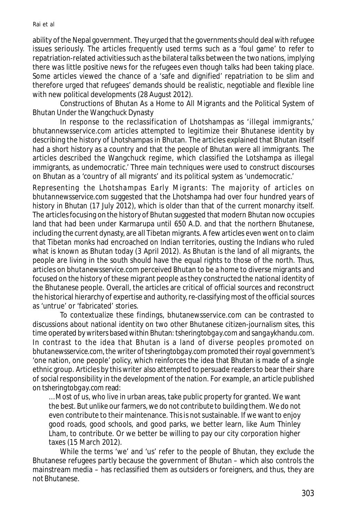#### Rai et al

ability of the Nepal government. They urged that the governments should deal with refugee issues seriously. The articles frequently used terms such as a 'foul game' to refer to repatriation-related activities such as the bilateral talks between the two nations, implying there was little positive news for the refugees even though talks had been taking place. Some articles viewed the chance of a 'safe and dignified' repatriation to be slim and therefore urged that refugees' demands should be realistic, negotiable and flexible line with new political developments (28 August 2012).

Constructions of Bhutan As a Home to All Migrants and the Political System of Bhutan Under the Wangchuck Dynasty

In response to the reclassification of Lhotshampas as 'illegal immigrants,' bhutannewsservice.com articles attempted to legitimize their Bhutanese identity by describing the history of Lhotshampas in Bhutan. The articles explained that Bhutan itself had a short history as a country and that the people of Bhutan were all immigrants. The articles described the Wangchuck regime, which classified the Lotshampa as illegal immigrants, as undemocratic.' Three main techniques were used to construct discourses on Bhutan as a 'country of all migrants' and its political system as 'undemocratic.'

*Representing the Lhotshampas Early Migrants*: The majority of articles on *bhutannewsservice.com* suggested that the Lhotshampa had over four hundred years of history in Bhutan (17 July 2012), which is older than that of the current monarchy itself. The articles focusing on the history of Bhutan suggested that modern Bhutan now occupies land that had been under Karmarupa until 650 A.D. and that the northern Bhutanese, including the current dynasty, are all Tibetan migrants. A few articles even went on to claim that Tibetan monks had encroached on Indian territories, ousting the Indians who ruled what is known as Bhutan today (3 April 2012). As Bhutan is the land of all migrants, the people are living in the south should have the equal rights to those of the north. Thus, articles on *bhutanewsservice.com* perceived Bhutan to be a home to diverse migrants and focused on the history of these migrant people as they constructed the national identity of the Bhutanese people. Overall, the articles are critical of official sources and reconstruct the historical hierarchy of expertise and authority, re-classifying most of the official sources as 'untrue' or 'fabricated' stories.

To contextualize these findings, bhutanewsservice.com can be contrasted to discussions about national identity on two other Bhutanese citizen-journalism sites, this time operated by writers based within Bhutan: *tsheringtobgay.com* and *sangaykhandu.com*. In contrast to the idea that Bhutan is a land of diverse peoples promoted on *bhutanewsservice.com*, the writer of *tsheringtobgay.com* promoted their royal government's 'one nation, one people' policy, which reinforces the idea that Bhutan is made of a single ethnic group. Articles by this writer also attempted to persuade readers to bear their share of social responsibility in the development of the nation. For example, an article published on *tsheringtobgay.com* read:

… Most of us, who live in urban areas, take public property for granted. We want the best. But unlike our farmers, we do not contribute to building them. We do not even contribute to their maintenance. This is not sustainable. If we want to enjoy good roads, good schools, and good parks, we better learn, like Aum Thinley Lham, to contribute. Or we better be willing to pay our city corporation higher taxes (15 March 2012).

While the terms 'we' and 'us' refer to the people of Bhutan, they exclude the Bhutanese refugees partly because the government of Bhutan – which also controls the mainstream media – has reclassified them as outsiders or foreigners, and thus, they are not Bhutanese.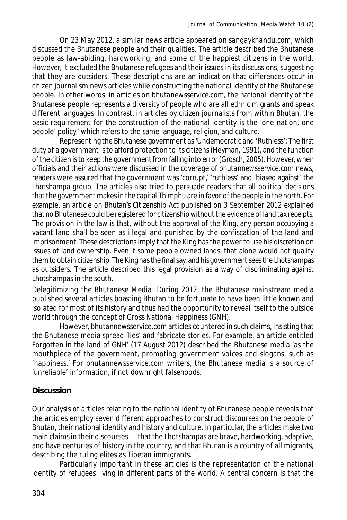On 23 May 2012, a similar news article appeared on *sangaykhandu.com*, which discussed the Bhutanese people and their qualities. The article described the Bhutanese people as law-abiding, hardworking, and some of the happiest citizens in the world. However, it excluded the Bhutanese refugees and their issues in its discussions, suggesting that they are outsiders. These descriptions are an indication that differences occur in citizen journalism news articles while constructing the national identity of the Bhutanese people. In other words, in articles on *bhutanewsservice.com*, the national identity of the Bhutanese people represents a diversity of people who are all ethnic migrants and speak different languages. In contrast, in articles by citizen journalists from within Bhutan, the basic requirement for the construction of the national identity is the 'one nation, one people' policy,' which refers to the same language, religion, and culture.

Representing the Bhutanese government as 'Undemocratic and 'Ruthless': The first duty of a government is to afford protection to its citizens (Heyman, 1991), and the function of the citizen is to keep the government from falling into error (Grosch, 2005). However, when officials and their actions were discussed in the coverage of *bhutannewsservice.com* news, readers were assured that the government was 'corrupt,' 'ruthless' and 'biased against' the Lhotshampa group. The articles also tried to persuade readers that all political decisions that the government makes in the capital Thimphu are in favor of the people in the north. For example, an article on Bhutan's Citizenship Act published on 3 September 2012 explained that no Bhutanese could be registered for citizenship without the evidence of land tax receipts. The provision in the law is that, without the approval of the King, any person occupying a vacant land shall be seen as illegal and punished by the confiscation of the land and imprisonment. These descriptions imply that the King has the power to use his discretion on issues of land ownership. Even if some people owned lands, that alone would not qualify them to obtain citizenship: The King has the final say, and his government sees the Lhotshampas as outsiders. The article described this legal provision as a way of discriminating against Lhotshampas in the south.

*Delegitimizing the Bhutanese Media*: During 2012, the Bhutanese mainstream media published several articles boasting Bhutan to be fortunate to have been little known and isolated for most of its history and thus had the opportunity to reveal itself to the outside world through the concept of Gross National Happiness (GNH).

However, *bhutannewsservice.com* articles countered in such claims, insisting that the Bhutanese media spread 'lies' and fabricate stories. For example, an article entitled Forgotten in the land of GNH' (17 August 2012) described the Bhutanese media 'as the mouthpiece of the government, promoting government voices and slogans, such as 'happiness.' For *bhutannewsservice.com* writers, the Bhutanese media is a source of 'unreliable' information, if not downright falsehoods.

# **Discussion**

Our analysis of articles relating to the national identity of Bhutanese people reveals that the articles employ seven different approaches to construct discourses on the people of Bhutan, their national identity and history and culture. In particular, the articles make two main claims in their discourses — that the Lhotshampas are brave, hardworking, adaptive, and have centuries of history in the country, and that Bhutan is a country of all migrants, describing the ruling elites as Tibetan immigrants.

Particularly important in these articles is the representation of the national identity of refugees living in different parts of the world. A central concern is that the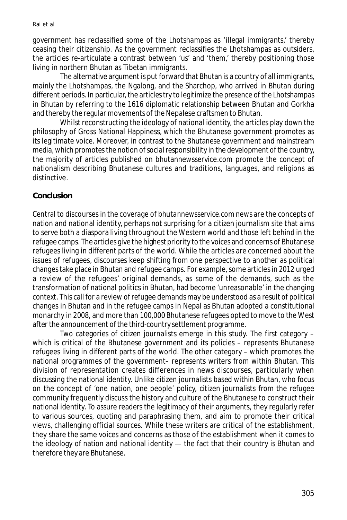government has reclassified some of the Lhotshampas as 'illegal immigrants,' thereby ceasing their citizenship. As the government reclassifies the Lhotshampas as outsiders, the articles re-articulate a contrast between 'us' and 'them,' thereby positioning those living in northern Bhutan as Tibetan immigrants.

The alternative argument is put forward that Bhutan is a country of all immigrants, mainly the Lhotshampas, the Ngalong, and the Sharchop, who arrived in Bhutan during different periods. In particular, the articles try to legitimize the presence of the Lhotshampas in Bhutan by referring to the 1616 diplomatic relationship between Bhutan and Gorkha and thereby the regular movements of the Nepalese craftsmen to Bhutan.

Whilst reconstructing the ideology of national identity, the articles play down the philosophy of Gross National Happiness, which the Bhutanese government promotes as its legitimate voice. Moreover, in contrast to the Bhutanese government and mainstream media, which promotes the notion of social responsibility in the development of the country, the majority of articles published on bhutannewsservice.com promote the concept of nationalism describing Bhutanese cultures and traditions, languages, and religions as distinctive.

#### **Conclusion**

Central to discourses in the coverage of *bhutannewsservice.com* news are the concepts of nation and national identity, perhaps not surprising for a citizen journalism site that aims to serve both a diaspora living throughout the Western world and those left behind in the refugee camps. The articles give the highest priority to the voices and concerns of Bhutanese refugees living in different parts of the world. While the articles are concerned about the issues of refugees, discourses keep shifting from one perspective to another as political changes take place in Bhutan and refugee camps. For example, some articles in 2012 urged a review of the refugees' original demands, as some of the demands, such as the transformation of national politics in Bhutan, had become 'unreasonable' in the changing context. This call for a review of refugee demands may be understood as a result of political changes in Bhutan and in the refugee camps in Nepal as Bhutan adopted a constitutional monarchy in 2008, and more than 100,000 Bhutanese refugees opted to move to the West after the announcement of the third-country settlement programme.

Two categories of citizen journalists emerge in this study. The first category – which is critical of the Bhutanese government and its policies – represents Bhutanese refugees living in different parts of the world. The other category – which promotes the national programmes of the government– represents writers from within Bhutan. This division of representation creates differences in news discourses, particularly when discussing the national identity. Unlike citizen journalists based within Bhutan, who focus on the concept of 'one nation, one people' policy, citizen journalists from the refugee community frequently discuss the history and culture of the Bhutanese to construct their national identity. To assure readers the legitimacy of their arguments, they regularly refer to various sources, quoting and paraphrasing them, and aim to promote their critical views, challenging official sources. While these writers are critical of the establishment, they share the same voices and concerns as those of the establishment when it comes to the ideology of nation and national identity — the fact that their country is Bhutan and therefore they are Bhutanese.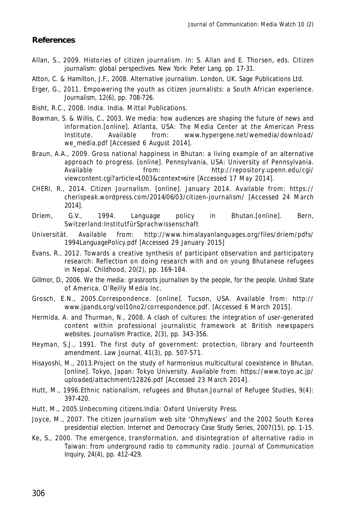#### **References**

- Allan, S., 2009. Histories of citizen journalism. In: S. Allan and E. Thorsen, eds. *Citizen journalism: global perspectives.* New York: Peter Lang. pp. 17-31.
- Atton, C. & Hamilton, J.F., 2008. *Alternative journalism*. London, UK. Sage Publications Ltd.
- Erger, G., 2011. Empowering the youth as citizen journalists: a South African experience. *Journalism,* 12(6), pp. 708-726.
- Bisht, R.C., 2008. India. India. Mittal Publications.
- Bowman, S. & Willis, C., 2003. *We media: how audiences are shaping the future of news and information.*[online]. Atlanta, USA: The Media Center at the American Press Institute. Available from: www.hypergene.net/wemedia/download/ we\_media.pdf [Accessed 6 August 2014].
- Braun, A.A., 2009. Gross national happiness in Bhutan: a living example of an alternative approach to progress. [online]. Pennsylvania, USA: University of Pennsylvania. Available from: http://repository.upenn.edu/cgi/ viewcontent.cgi?article=1003&context=sire [Accessed 17 May 2014].
- CHERI, R., 2014. *Citizen Journalism*. [online]. January 2014. Available from: https:// cherispeak.wordpress.com/2014/06/03/citizen-journalism/ [Accessed 24 March 2014].
- Driem, G.V., 1994. Language policy in Bhutan.[online]. Bern, Switzerland:InstitutfürSprachwissenschaft
- Universität. Available from: http://www.himalayanlanguages.org/files/driem/pdfs/ 1994LanguagePolicy.pdf [Accessed 29 January 2015]
- Evans, R., 2012. Towards a creative synthesis of participant observation and participatory research: Reflection on doing research with and on young Bhutanese refugees in Nepal. Childhood, 20(2), pp. 169-184.
- Gillmor, D., 2006. We the media: grassroots journalism by the people, for the people. United State of America. O'Reilly Media Inc.
- Grosch, E.N., 2005.Correspondence. [online]. Tucson, USA. Available from: http:// www.jpands.org/vol10no2/correspondence.pdf. [Accessed 6 March 2015].
- Hermida, A. and Thurman, N., 2008. A clash of cultures: the integration of user-generated content within professional journalistic framework at British newspapers websites. *Journalism Practice,* 2(3), pp. 343-356.
- Heyman, S.J., 1991. The first duty of government: protection, library and fourteenth amendment. Law Journal, 41(3), pp. 507-571.
- Hisayoshi, M., 2013.Project on the study of harmonious multicultural coexistence in Bhutan. [online]. Tokyo, Japan: Tokyo University. Available from: https://www.toyo.ac.jp/ uploaded/attachment/12826.pdf [Accessed 23 March 2014].
- Hutt, M., 1996.Ethnic nationalism, refugees and Bhutan.Journal of Refugee Studies, 9(4): 397-420.
- Hutt, M., 2005.Unbecoming citizens.India: Oxford University Press.
- Joyce, M., 2007. The citizen journalism web site 'OhmyNews' and the 2002 South Korea presidential election. *Internet and Democracy Case Study Series,* 2007(15), pp. 1-15.
- Ke, S., 2000. The emergence, transformation, and disintegration of alternative radio in Taiwan: from underground radio to community radio. *Journal of Communication Inquiry,* 24(4), pp. 412-429.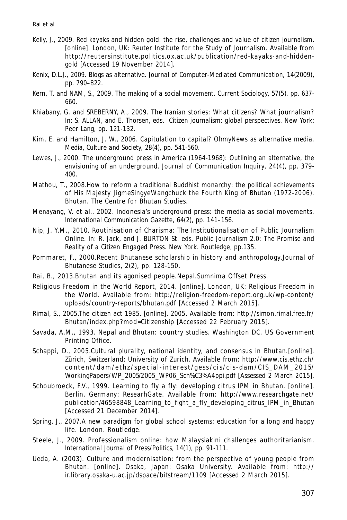- Kelly, J., 2009. *Red kayaks and hidden gold: the rise, challenges and value of citizen journalism*. [online]. London, UK: Reuter Institute for the Study of Journalism. Available from http://reutersinstitute.politics.ox.ac.uk/publication/red-kayaks-and-hiddengold [Accessed 19 November 2014].
- Kenix, D.L.J., 2009. Blogs as alternative. *Journal of Computer-Mediated Communication,* 14(2009), pp. 790–822.
- Kern, T. and NAM, S., 2009. The making of a social movement. *Current Sociology,* 57(5), pp. 637- 660.
- Khiabany, G. and SREBERNY, A., 2009. The Iranian stories: What citizens? What journalism? In: S. ALLAN, and E. Thorsen, eds. *Citizen journalism: global perspectives.* New York: Peer Lang, pp. 121-132.
- Kim, E. and Hamilton, J. W., 2006. Capitulation to capital? OhmyNews as alternative media. *Media, Culture and Society,* 28(4), pp. 541-560.
- Lewes, J., 2000. The underground press in America (1964-1968): Outlining an alternative, the envisioning of an underground. *Journal of Communication Inquiry,* 24(4), pp. 379- 400.
- Mathou, T., 2008.How to reform a traditional Buddhist monarchy: the political achievements of His Majesty JigmeSingyeWangchuck the Fourth King of Bhutan (1972-2006). Bhutan. The Centre for Bhutan Studies.
- Menayang, V. et al., 2002. Indonesia's underground press: the media as social movements. *International Communication Gazette,* 64(2), pp. 141–156.
- Nip, J. Y.M., 2010. Routinisation of Charisma: The Institutionalisation of Public Journalism Online. In: R. Jack, and J. BURTON St. eds. *Public Journalism 2.0: The Promise and Reality of a Citizen Engaged Press*. New York. Routledge, pp.135.
- Pommaret, F., 2000.Recent Bhutanese scholarship in history and anthropology.Journal of Bhutanese Studies, 2(2), pp. 128-150.
- Rai, B., 2013.Bhutan and its agonised people.Nepal.Sumnima Offset Press.
- Religious Freedom in the World Report, 2014. [online]. London, UK: Religious Freedom in the World. Available from: http://religion-freedom-report.org.uk/wp-content/ uploads/country-reports/bhutan.pdf [Accessed 2 March 2015].
- Rimal, S., 2005.The citizen act 1985. [online]. 2005. Available from: http://simon.rimal.free.fr/ Bhutan/index.php?mod=Citizenship [Accessed 22 February 2015].
- Savada, A.M., 1993. Nepal and Bhutan: country studies. Washington DC. US Government Printing Office.
- Schappi, D., 2005.Cultural plurality, national identity, and consensus in Bhutan.[online]. Zürich, Switzerland: University of Zurich. Available from: http://www.cis.ethz.ch/ content/dam/ethz/special-interest/gess/cis/cis-dam/CIS\_DAM\_2015/ WorkingPapers/WP\_2005/2005\_WP06\_Sch%C3%A4ppi.pdf [Assessed 2 March 2015].
- Schoubroeck, F.V., 1999. Learning to fly a fly: developing citrus IPM in Bhutan. [online]. Berlin, Germany: ResearhGate. Available from: http://www.researchgate.net/ publication/46598848\_Learning\_to\_fight\_a\_fly\_developing\_citrus\_IPM\_in\_Bhutan [Accessed 21 December 2014].
- Spring, J., 2007.A new paradigm for global school systems: education for a long and happy life. London. Routledge.
- Steele, J., 2009. Professionalism online: how Malaysiakini challenges authoritarianism. *International Journal of Press/Politics,* 14(1), pp. 91-111.
- Ueda, A. (2003). Culture and modernisation: from the perspective of young people from Bhutan. [online]. Osaka, Japan: Osaka University. Available from: http:// ir.library.osaka-u.ac.jp/dspace/bitstream/1109 [Accessed 2 March 2015].